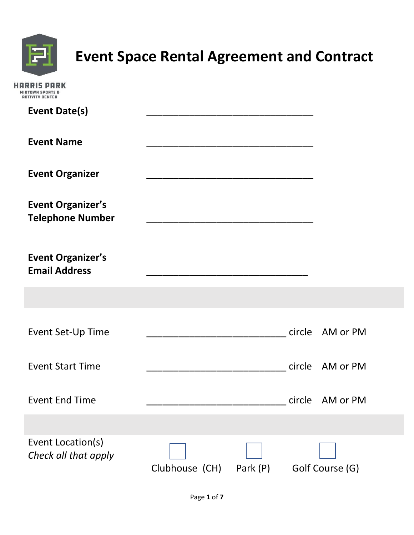

### **Event Space Rental Agreement and Contract**

| <b>RCTIVITY CENTER</b>                              |                         |  |                 |  |
|-----------------------------------------------------|-------------------------|--|-----------------|--|
| <b>Event Date(s)</b>                                |                         |  |                 |  |
| <b>Event Name</b>                                   |                         |  |                 |  |
| <b>Event Organizer</b>                              |                         |  |                 |  |
| <b>Event Organizer's</b><br><b>Telephone Number</b> |                         |  |                 |  |
| <b>Event Organizer's</b><br><b>Email Address</b>    |                         |  |                 |  |
|                                                     |                         |  |                 |  |
| Event Set-Up Time                                   |                         |  | circle AM or PM |  |
| <b>Event Start Time</b>                             |                         |  | circle AM or PM |  |
| <b>Event End Time</b>                               |                         |  | circle AM or PM |  |
|                                                     |                         |  |                 |  |
| Event Location(s)<br>Check all that apply           | Clubhouse (CH) Park (P) |  | Golf Course (G) |  |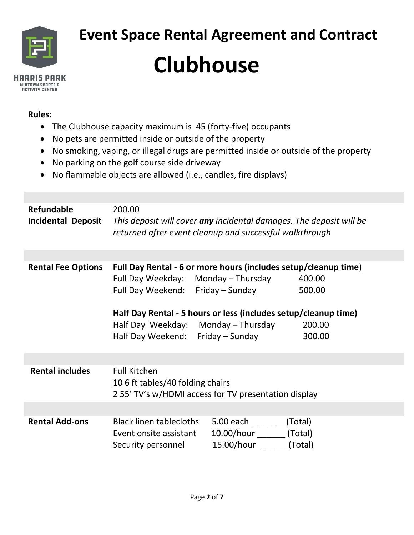

# **Event Space Rental Agreement and Contract Clubhouse**

### **Rules:**

- The Clubhouse capacity maximum is 45 (forty-five) occupants
- No pets are permitted inside or outside of the property
- No smoking, vaping, or illegal drugs are permitted inside or outside of the property
- No parking on the golf course side driveway
- No flammable objects are allowed (i.e., candles, fire displays)

| Refundable<br><b>Incidental Deposit</b> | 200.00                                                                         | This deposit will cover any incidental damages. The deposit will be<br>returned after event cleanup and successful walkthrough                                                                                 |                                      |
|-----------------------------------------|--------------------------------------------------------------------------------|----------------------------------------------------------------------------------------------------------------------------------------------------------------------------------------------------------------|--------------------------------------|
|                                         |                                                                                |                                                                                                                                                                                                                |                                      |
| <b>Rental Fee Options</b>               | Full Day Weekday: Monday - Thursday<br>Full Day Weekend: Friday - Sunday       | Full Day Rental - 6 or more hours (includes setup/cleanup time)<br>Half Day Rental - 5 hours or less (includes setup/cleanup time)<br>Half Day Weekday: Monday – Thursday<br>Half Day Weekend: Friday - Sunday | 400.00<br>500.00<br>200.00<br>300.00 |
|                                         |                                                                                |                                                                                                                                                                                                                |                                      |
| <b>Rental includes</b>                  | <b>Full Kitchen</b><br>10 6 ft tables/40 folding chairs                        | 255' TV's w/HDMI access for TV presentation display                                                                                                                                                            |                                      |
|                                         |                                                                                |                                                                                                                                                                                                                |                                      |
| <b>Rental Add-ons</b>                   | <b>Black linen tablecloths</b><br>Event onsite assistant<br>Security personnel | 5.00 each <b>S</b><br>10.00/hour<br>15.00/hour                                                                                                                                                                 | (Total)<br>(Total)<br>(Total)        |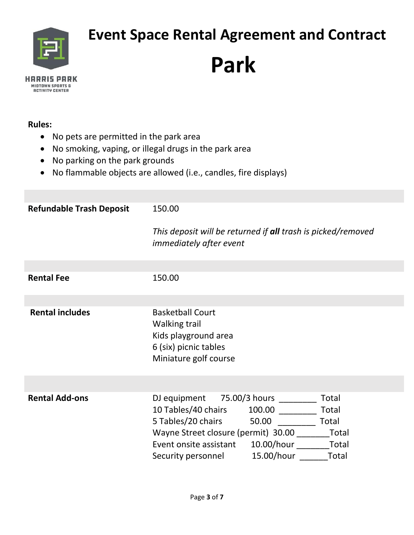

## **Event Space Rental Agreement and Contract**

## **Park**

#### **Rules:**

- No pets are permitted in the park area
- No smoking, vaping, or illegal drugs in the park area
- No parking on the park grounds
- No flammable objects are allowed (i.e., candles, fire displays)

| <b>Refundable Trash Deposit</b> | 150.00                                                                                                                                                                                                                                                        |
|---------------------------------|---------------------------------------------------------------------------------------------------------------------------------------------------------------------------------------------------------------------------------------------------------------|
|                                 | This deposit will be returned if all trash is picked/removed<br><i>immediately after event</i>                                                                                                                                                                |
|                                 |                                                                                                                                                                                                                                                               |
| <b>Rental Fee</b>               | 150.00                                                                                                                                                                                                                                                        |
|                                 |                                                                                                                                                                                                                                                               |
| <b>Rental includes</b>          | <b>Basketball Court</b><br>Walking trail<br>Kids playground area<br>6 (six) picnic tables<br>Miniature golf course                                                                                                                                            |
|                                 |                                                                                                                                                                                                                                                               |
| <b>Rental Add-ons</b>           | DJ equipment 75.00/3 hours<br>Total<br>10 Tables/40 chairs<br>100.00<br>Total<br>5 Tables/20 chairs<br>50.00<br>Total<br>Wayne Street closure (permit) 30.00 Total<br>Event onsite assistant 10.00/hour<br>Total<br>15.00/hour<br>Total<br>Security personnel |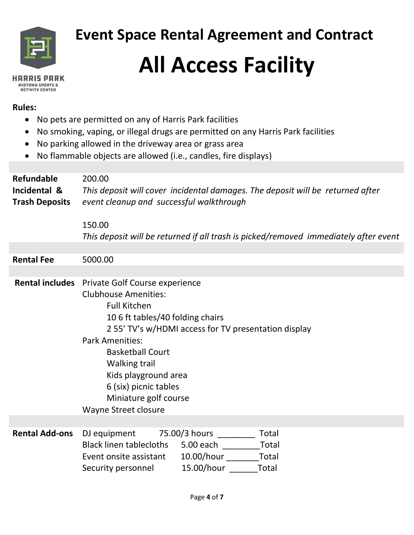

 **Event Space Rental Agreement and Contract** 

# **All Access Facility**

#### **Rules:**

- No pets are permitted on any of Harris Park facilities
- No smoking, vaping, or illegal drugs are permitted on any Harris Park facilities
- No parking allowed in the driveway area or grass area
- No flammable objects are allowed (i.e., candles, fire displays)

| <b>Refundable</b><br>Incidental &<br><b>Trash Deposits</b> | 200.00<br>This deposit will cover incidental damages. The deposit will be returned after<br>event cleanup and successful walkthrough<br>150.00<br>This deposit will be returned if all trash is picked/removed immediately after event                                                                                                                                          |
|------------------------------------------------------------|---------------------------------------------------------------------------------------------------------------------------------------------------------------------------------------------------------------------------------------------------------------------------------------------------------------------------------------------------------------------------------|
| <b>Rental Fee</b>                                          | 5000.00                                                                                                                                                                                                                                                                                                                                                                         |
|                                                            | Rental includes Private Golf Course experience<br><b>Clubhouse Amenities:</b><br><b>Full Kitchen</b><br>10 6 ft tables/40 folding chairs<br>2 55' TV's w/HDMI access for TV presentation display<br><b>Park Amenities:</b><br><b>Basketball Court</b><br><b>Walking trail</b><br>Kids playground area<br>6 (six) picnic tables<br>Miniature golf course<br>Wayne Street closure |
| <b>Rental Add-ons</b>                                      | DJ equipment<br>75.00/3 hours<br>Total<br><b>Black linen tablecloths</b><br>Total<br>5.00 each based on the season of the season of the season of the season of the season of the season of the seas<br>10.00/hour Total<br>Event onsite assistant<br>15.00/hour ______<br>Total<br>Security personnel                                                                          |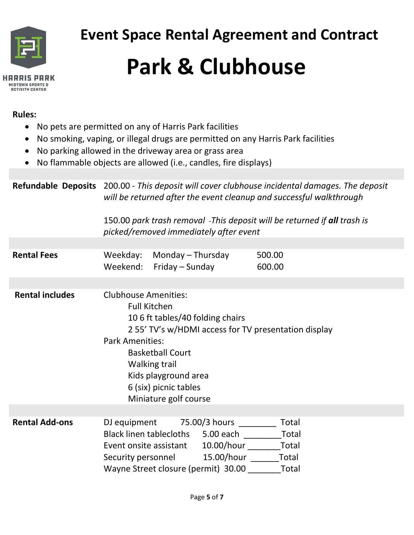

### **Rules:**

- No pets are permitted on any of Harris Park facilities
- No smoking, vaping, or illegal drugs are permitted on any Harris Park facilities
- No parking allowed in the driveway area or grass area
- No flammable objects are allowed (i.e., candles, fire displays)

**Refundable Deposits** 200.00 - *This deposit will cover clubhouse incidental damages. The deposit will be returned after the event cleanup and successful walkthrough*  150.00 *park trash removal* -*This deposit will be returned if all trash is picked/removed immediately after event* **Rental Fees** Weekday: Monday – Thursday 500.00 Weekend: Friday – Sunday 600.00 **Rental includes** Clubhouse Amenities: Full Kitchen 10 6 ft tables/40 folding chairs 2 55' TV's w/HDMI access for TV presentation display Park Amenities: Basketball Court Walking trail Kids playground area 6 (six) picnic tables Miniature golf course **Rental Add-ons** DJ equipment 75.00/3 hours Total Black linen tablecloths 5.00 each Total Event onsite assistant 10.00/hour Total Security personnel 15.00/hour Total Wayne Street closure (permit) 30.00 Total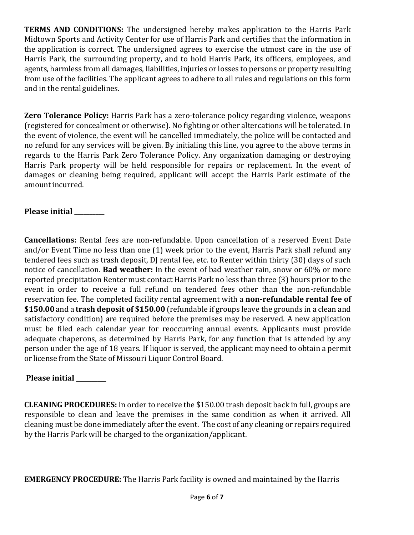**TERMS AND CONDITIONS:** The undersigned hereby makes application to the Harris Park Midtown Sports and Activity Center for use of Harris Park and certifies that the information in the application is correct. The undersigned agrees to exercise the utmost care in the use of Harris Park, the surrounding property, and to hold Harris Park, its officers, employees, and agents, harmless from all damages, liabilities, injuries or losses to persons or property resulting from use of the facilities. The applicant agrees to adhere to all rules and regulations on this form and in the rental guidelines.

**Zero Tolerance Policy:** Harris Park has a zero-tolerance policy regarding violence, weapons (registered for concealment or otherwise). No fighting or other altercations will be tolerated. In the event of violence, the event will be cancelled immediately, the police will be contacted and no refund for any services will be given. By initialing this line, you agree to the above terms in regards to the Harris Park Zero Tolerance Policy. Any organization damaging or destroying Harris Park property will be held responsible for repairs or replacement. In the event of damages or cleaning being required, applicant will accept the Harris Park estimate of the amount incurred.

### **Please initial \_\_\_\_\_\_\_\_\_\_**

**Cancellations:** Rental fees are non-refundable. Upon cancellation of a reserved Event Date and/or Event Time no less than one (1) week prior to the event, Harris Park shall refund any tendered fees such as trash deposit, DJ rental fee, etc. to Renter within thirty (30) days of such notice of cancellation. **Bad weather:** In the event of bad weather rain, snow or 60% or more reported precipitation Renter must contact Harris Park no less than three (3) hours prior to the event in order to receive a full refund on tendered fees other than the non-refundable reservation fee. The completed facility rental agreement with a **non-refundable rental fee of \$150.00** and a **trash deposit of \$150.00** (refundable if groups leave the grounds in a clean and satisfactory condition) are required before the premises may be reserved. A new application must be filed each calendar year for reoccurring annual events. Applicants must provide adequate chaperons, as determined by Harris Park, for any function that is attended by any person under the age of 18 years. If liquor is served, the applicant may need to obtain a permit or license from the State of Missouri Liquor Control Board.

### **Please initial \_\_\_\_\_\_\_\_\_\_**

**CLEANING PROCEDURES:** In order to receive the \$150.00 trash deposit back in full, groups are responsible to clean and leave the premises in the same condition as when it arrived. All cleaning must be done immediately after the event. The cost of any cleaning or repairs required by the Harris Park will be charged to the organization/applicant.

**EMERGENCY PROCEDURE:** The Harris Park facility is owned and maintained by the Harris